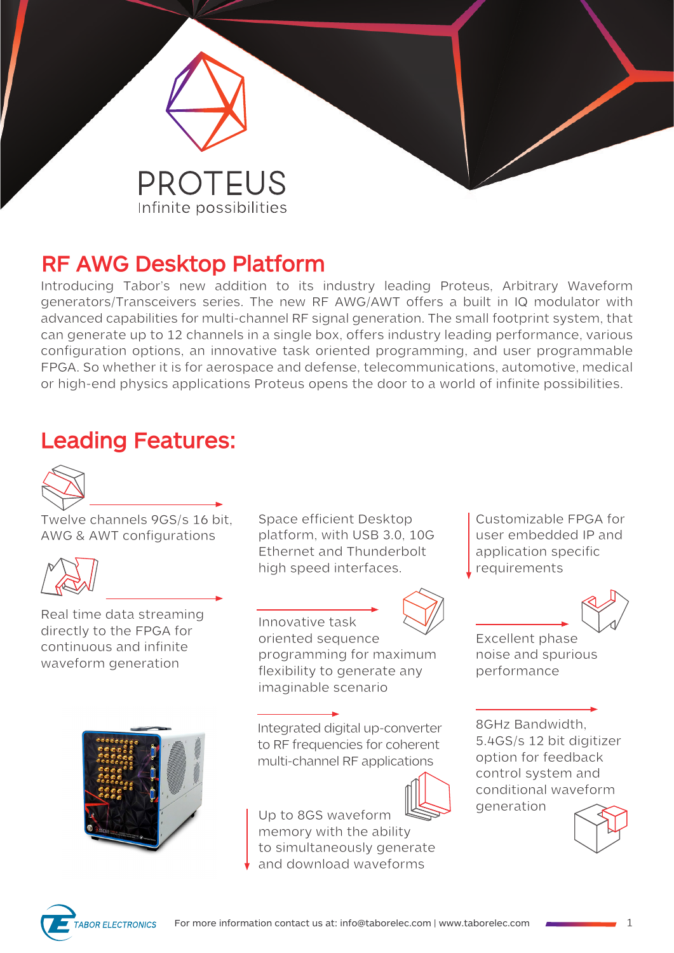

# **RF AWG Desktop Platform**

Introducing Tabor's new addition to its industry leading Proteus, Arbitrary Waveform generators/Transceivers series. The new RF AWG/AWT offers a built in IQ modulator with advanced capabilities for multi-channel RF signal generation. The small footprint system, that can generate up to 12 channels in a single box, offers industry leading performance, various configuration options, an innovative task oriented programming, and user programmable FPGA. So whether it is for aerospace and defense, telecommunications, automotive, medical or high-end physics applications Proteus opens the door to a world of infinite possibilities.

# **Leading Features:**



Twelve channels 9GS/s 16 bit, AWG & AWT configurations



Real time data streaming directly to the FPGA for continuous and infinite waveform generation



Space efficient Desktop platform, with USB 3.0, 10G Ethernet and Thunderbolt high speed interfaces.

Innovative task oriented sequence programming for maximum

imaginable scenario

Up to 8GS waveform memory with the ability to simultaneously generate and download waveforms

flexibility to generate any

Integrated digital up-converter to RF frequencies for coherent multi-channel RF applications



application specific requirements

Customizable FPGA for user embedded IP and

Excellent phase noise and spurious performance

8GHz Bandwidth, 5.4GS/s 12 bit digitizer option for feedback control system and conditional waveform generation



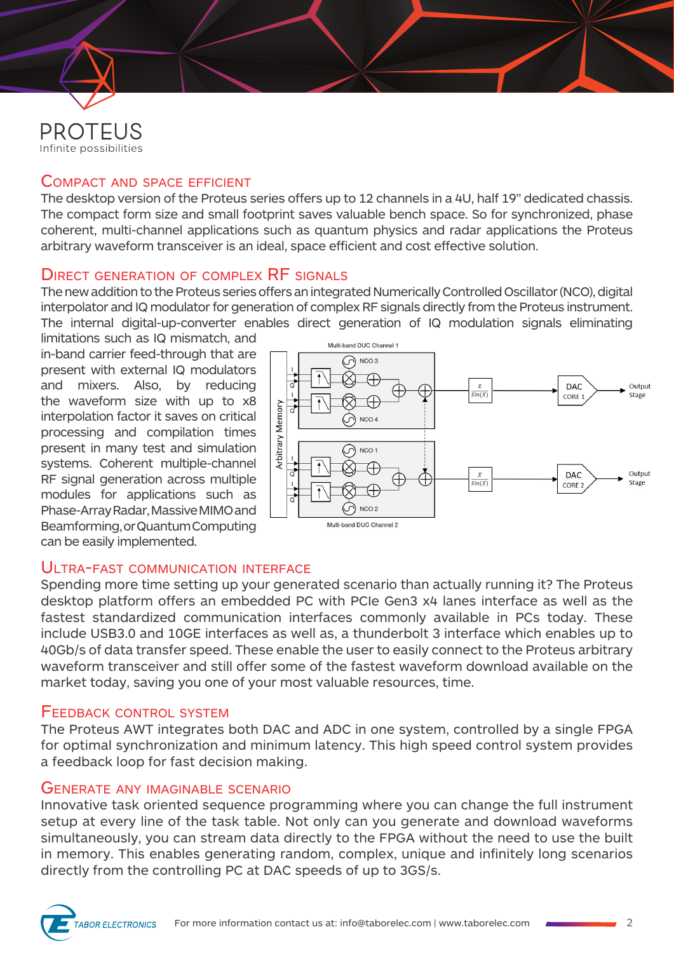

## Compact and space efficient

The desktop version of the Proteus series offers up to 12 channels in a 4U, half 19" dedicated chassis. The compact form size and small footprint saves valuable bench space. So for synchronized, phase coherent, multi-channel applications such as quantum physics and radar applications the Proteus arbitrary waveform transceiver is an ideal, space efficient and cost effective solution.

## DIRECT GENERATION OF COMPLEX RF SIGNALS

The new addition to the Proteus series offers an integrated Numerically Controlled Oscillator (NCO), digital interpolator and IQ modulator for generation of complex RF signals directly from the Proteus instrument. The internal digital-up-converter enables direct generation of IQ modulation signals eliminating

limitations such as IQ mismatch, and in-band carrier feed-through that are present with external IQ modulators and mixers. Also, by reducing the waveform size with up to x8 interpolation factor it saves on critical processing and compilation times present in many test and simulation systems. Coherent multiple-channel RF signal generation across multiple modules for applications such as Phase-Array Radar, Massive MIMO and Beamforming, or Quantum Computing can be easily implemented.



## ULTRA-FAST COMMUNICATION INTERFACE

Spending more time setting up your generated scenario than actually running it? The Proteus desktop platform offers an embedded PC with PCIe Gen3 x4 lanes interface as well as the fastest standardized communication interfaces commonly available in PCs today. These include USB3.0 and 10GE interfaces as well as, a thunderbolt 3 interface which enables up to 40Gb/s of data transfer speed. These enable the user to easily connect to the Proteus arbitrary waveform transceiver and still offer some of the fastest waveform download available on the market today, saving you one of your most valuable resources, time.

#### Feedback control system

The Proteus AWT integrates both DAC and ADC in one system, controlled by a single FPGA for optimal synchronization and minimum latency. This high speed control system provides a feedback loop for fast decision making.

#### Generate any imaginable scenario

Innovative task oriented sequence programming where you can change the full instrument setup at every line of the task table. Not only can you generate and download waveforms simultaneously, you can stream data directly to the FPGA without the need to use the built in memory. This enables generating random, complex, unique and infinitely long scenarios directly from the controlling PC at DAC speeds of up to 3GS/s.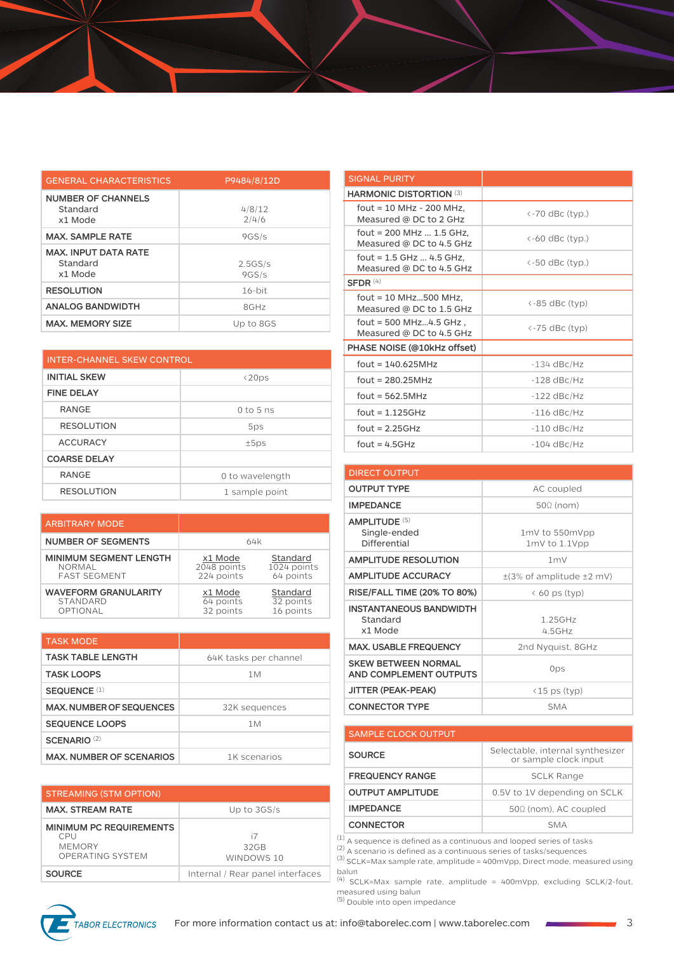| <b>GENERAL CHARACTERISTICS</b>                     | P9484/8/12D      |
|----------------------------------------------------|------------------|
| <b>NUMBER OF CHANNELS</b><br>Standard<br>x1 Mode   | 4/8/12<br>2/4/6  |
| <b>MAX. SAMPLE RATE</b>                            | 9GS/s            |
| <b>MAX. INPUT DATA RATE</b><br>Standard<br>x1 Mode | 2.5GS/s<br>9GS/s |
| <b>RESOLUTION</b>                                  | $16-hit$         |
| <b>ANALOG BANDWIDTH</b>                            | 8GHz             |
| <b>MAX. MEMORY SIZE</b>                            | Up to 8GS        |

| INTER-CHANNEL SKEW CONTROL |                 |
|----------------------------|-----------------|
| <b>INITIAL SKEW</b>        | $\langle 20ps$  |
| <b>FINE DELAY</b>          |                 |
| <b>RANGE</b>               | $0$ to 5 ns     |
| <b>RESOLUTION</b>          | 5ps             |
| <b>ACCURACY</b>            | ±5ps            |
| <b>COARSE DELAY</b>        |                 |
| <b>RANGE</b>               | 0 to wavelength |
| <b>RESOLUTION</b>          | 1 sample point  |

| <b>ARBITRARY MODE</b>         |             |             |
|-------------------------------|-------------|-------------|
| <b>NUMBER OF SEGMENTS</b>     | 64k         |             |
| <b>MINIMUM SEGMENT LENGTH</b> | x1 Mode     | Standard    |
| <b>NORMAL</b>                 | 2048 points | 1024 points |
| <b>FAST SEGMENT</b>           | 224 points  | 64 points   |
| <b>WAVEFORM GRANULARITY</b>   | x1 Mode     | Standard    |
| STANDARD                      | 64 points   | 32 points   |
| OPTIONAL                      | 32 points   | 16 points   |

| <b>TASK MODE</b>                |                       |
|---------------------------------|-----------------------|
| <b>TASK TABLE LENGTH</b>        | 64K tasks per channel |
| <b>TASK LOOPS</b>               | 1M                    |
| SEQUENCE <sup>(1)</sup>         |                       |
| <b>MAX, NUMBER OF SEQUENCES</b> | 32K sequences         |
| <b>SEQUENCE LOOPS</b>           | 1M                    |
| <b>SCENARIO (2)</b>             |                       |
| <b>MAX. NUMBER OF SCENARIOS</b> | 1K scenarios          |

| <b>STREAMING (STM OPTION)</b>                                              |                                  |
|----------------------------------------------------------------------------|----------------------------------|
| <b>MAX. STREAM RATE</b>                                                    | Up to 3GS/s                      |
| <b>MINIMUM PC REQUIREMENTS</b><br>CPU<br><b>MEMORY</b><br>OPERATING SYSTEM | i7<br>32GB<br>WINDOWS 10         |
| <b>SOURCE</b>                                                              | Internal / Rear panel interfaces |

| $\left\langle -70$ dBc (typ.)             |
|-------------------------------------------|
| $\leftarrow$ 60 dBc (typ.)                |
| <-50 dBc (typ.)                           |
|                                           |
| <-85 dBc (typ)                            |
| $\left\langle -75\right\rangle$ dBc (typ) |
|                                           |
| $-134$ dBc/Hz                             |
| $-128$ dBc/Hz                             |
| $-122$ dBc/Hz                             |
| $-116$ dBc/Hz                             |
| $-110$ dBc/Hz                             |
| $-104$ dBc/Hz                             |
|                                           |

| <b>DIRECT OUTPUT</b>                                  |                                      |
|-------------------------------------------------------|--------------------------------------|
| <b>OUTPUT TYPE</b>                                    | AC coupled                           |
| <b>IMPEDANCE</b>                                      | $50\Omega$ (nom)                     |
| <b>AMPLITUDE (5)</b><br>Single-ended<br>Differential  | 1mV to 550mVpp<br>$1mV$ to $1.1V$ pp |
| <b>AMPLITUDE RESOLUTION</b>                           | 1 <sub>m</sub>                       |
| <b>AMPLITUDE ACCURACY</b>                             | $\pm$ (3% of amplitude $\pm$ 2 mV)   |
| <b>RISE/FALL TIME (20% TO 80%)</b>                    | $\langle 60 \rangle$ ps (typ)        |
| <b>INSTANTANEOUS BANDWIDTH</b><br>Standard<br>x1 Mode | 1.25GHz<br>4.5GHz                    |
| <b>MAX. USABLE FREQUENCY</b>                          | 2nd Nyquist, 8GHz                    |
| <b>SKEW BETWEEN NORMAL</b><br>AND COMPLEMENT OUTPUTS  | 0ps                                  |
| JITTER (PEAK-PEAK)                                    | <15 ps (typ)                         |
| <b>CONNECTOR TYPE</b>                                 | <b>SMA</b>                           |

#### SAMPLE CLOCK OUTPUT **SOURCE** Selectable, internal synthesizer or sample clock input **FREQUENCY RANGE** SCLK Range **OUTPUT AMPLITUDE** 0.5V to 1V depending on SCLK **IMPEDANCE** 50Ω (nom), AC coupled **CONNECTOR** SMA

 $<sup>(1)</sup>$  A sequence is defined as a continuous and looped series of tasks</sup>

 $(2)$  A scenario is defined as a continuous series of tasks/sequences

(3) SCLK=Max sample rate, amplitude = 400mVpp, Direct mode, measured using

balun<br><sup>(4)</sup> SCLK=Max sample rate, amplitude = 400mVpp, excluding SCLK/2-fout, measured using balun measured using balun<br>(5) Double into open impedance

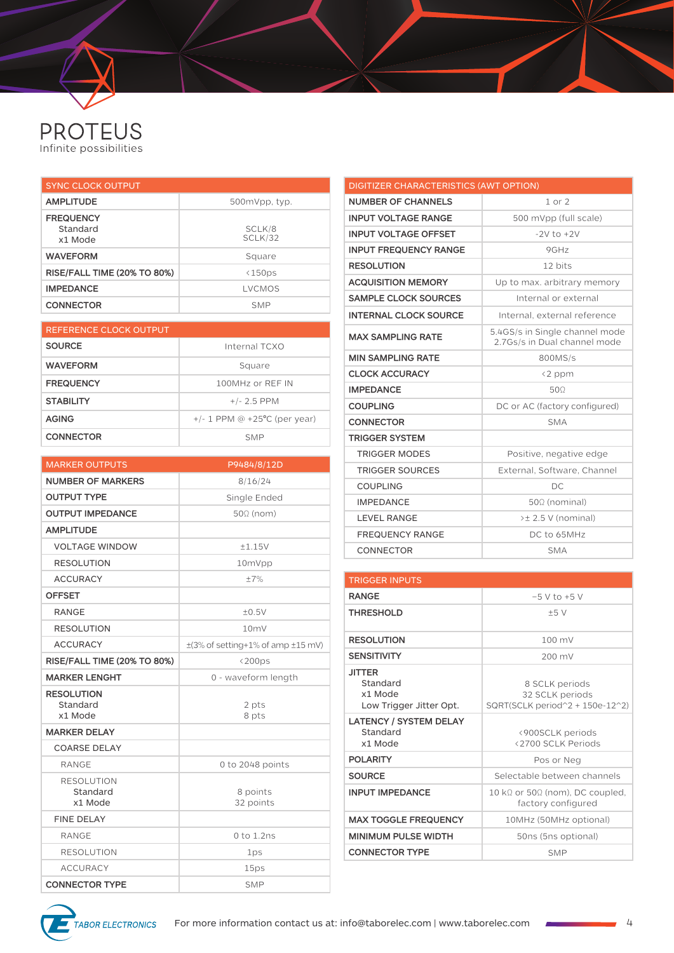# **PROTEUS**<br>Infinite possibilities

| <b>SYNC CLOCK OUTPUT</b>                |                   |
|-----------------------------------------|-------------------|
| <b>AMPLITUDE</b>                        | 500mVpp, typ.     |
| <b>FREQUENCY</b><br>Standard<br>x1 Mode | SCLK/8<br>SCLK/32 |
| <b>WAVEFORM</b>                         | Square            |
| <b>RISE/FALL TIME (20% TO 80%)</b>      | <150ps            |
| <b>IMPEDANCE</b>                        | LVCMOS            |
| <b>CONNECTOR</b>                        | <b>SMP</b>        |

| REFERENCE CLOCK OUTPUT |                                   |
|------------------------|-----------------------------------|
| <b>SOURCE</b>          | Internal TCXO                     |
| <b>WAVEFORM</b>        | Square                            |
| <b>FREQUENCY</b>       | 100MHz or RFF IN                  |
| <b>STABILITY</b>       | $+/- 2.5$ PPM                     |
| <b>AGING</b>           | $+/- 1$ PPM @ $+25$ °C (per year) |
| <b>CONNECTOR</b>       | <b>SMP</b>                        |

| <b>MARKER OUTPUTS</b>              | P9484/8/12D                                 |
|------------------------------------|---------------------------------------------|
| <b>NUMBER OF MARKERS</b>           | 8/16/24                                     |
| <b>OUTPUT TYPE</b>                 | Single Ended                                |
| <b>OUTPUT IMPEDANCE</b>            | $50\Omega$ (nom)                            |
| <b>AMPLITUDE</b>                   |                                             |
| <b>VOLTAGE WINDOW</b>              | ±1.15V                                      |
| <b>RESOLUTION</b>                  | 10mVpp                                      |
| <b>ACCURACY</b>                    | $\pm 7\%$                                   |
| <b>OFFSET</b>                      |                                             |
| <b>RANGE</b>                       | ±0.5V                                       |
| <b>RESOLUTION</b>                  | 10mV                                        |
| <b>ACCURACY</b>                    | $\pm$ (3% of setting+1% of amp $\pm$ 15 mV) |
| <b>RISE/FALL TIME (20% TO 80%)</b> | $<$ 200ps                                   |
| <b>MARKER LENGHT</b>               | 0 - waveform length                         |
| <b>RESOLUTION</b><br>Standard      | 2 pts                                       |
| x1 Mode                            | 8 pts                                       |
| <b>MARKER DELAY</b>                |                                             |
| <b>COARSE DELAY</b>                |                                             |
| <b>RANGE</b>                       | 0 to 2048 points                            |
| <b>RESOLUTION</b>                  |                                             |
| Standard<br>x1 Mode                | 8 points<br>32 points                       |
| <b>FINE DELAY</b>                  |                                             |
| <b>RANGE</b>                       | 0 to 1.2ns                                  |
| <b>RESOLUTION</b>                  | 1ps                                         |
| <b>ACCURACY</b>                    | 15ps                                        |
| <b>CONNECTOR TYPE</b>              | <b>SMP</b>                                  |

| <b>DIGITIZER CHARACTERISTICS (AWT OPTION)</b> |                                                                |
|-----------------------------------------------|----------------------------------------------------------------|
| <b>NUMBER OF CHANNELS</b>                     | $1$ or $2$                                                     |
| <b>INPUT VOLTAGE RANGE</b>                    | 500 mVpp (full scale)                                          |
| <b>INPUT VOLTAGE OFFSET</b>                   | $-2V$ to $+2V$                                                 |
| <b>INPUT FREQUENCY RANGE</b>                  | 9GHz                                                           |
| <b>RESOLUTION</b>                             | 12 bits                                                        |
| <b>ACQUISITION MEMORY</b>                     | Up to max. arbitrary memory                                    |
| <b>SAMPLE CLOCK SOURCES</b>                   | Internal or external                                           |
| <b>INTERNAL CLOCK SOURCE</b>                  | Internal, external reference                                   |
| <b>MAX SAMPLING RATE</b>                      | 5.4GS/s in Single channel mode<br>2.7Gs/s in Dual channel mode |
| <b>MIN SAMPLING RATE</b>                      | 800MS/s                                                        |
| <b>CLOCK ACCURACY</b>                         | <2 ppm                                                         |
| <b>IMPEDANCE</b>                              | 500                                                            |
| <b>COUPLING</b>                               | DC or AC (factory configured)                                  |
| <b>CONNECTOR</b>                              | <b>SMA</b>                                                     |
| <b>TRIGGER SYSTEM</b>                         |                                                                |
| <b>TRIGGER MODES</b>                          | Positive, negative edge                                        |
| <b>TRIGGER SOURCES</b>                        | External, Software, Channel                                    |
| <b>COUPLING</b>                               | DC.                                                            |
| <b>IMPEDANCE</b>                              | $50\Omega$ (nominal)                                           |
| <b>LEVEL RANGE</b>                            | >± 2.5 V (nominal)                                             |
| <b>FREQUENCY RANGE</b>                        | DC to 65MHz                                                    |
| CONNECTOR                                     | <b>SMA</b>                                                     |

| <b>TRIGGER INPUTS</b>                                           |                                                                       |
|-----------------------------------------------------------------|-----------------------------------------------------------------------|
| <b>RANGE</b>                                                    | $-5$ V to $+5$ V                                                      |
| <b>THRESHOLD</b>                                                | ±5V                                                                   |
| <b>RESOLUTION</b>                                               | 100 mV                                                                |
| <b>SENSITIVITY</b>                                              | 200 mV                                                                |
| <b>JITTER</b><br>Standard<br>x1 Mode<br>Low Trigger Jitter Opt. | 8 SCLK periods<br>32 SCLK periods<br>SQRT(SCLK period^2 + 150e-12^2)  |
| <b>LATENCY / SYSTEM DELAY</b><br>Standard<br>x1 Mode            | <900SCLK periods<br><2700 SCLK Periods                                |
| <b>POLARITY</b>                                                 | Pos or Neg                                                            |
| <b>SOURCE</b>                                                   | Selectable between channels                                           |
| <b>INPUT IMPEDANCE</b>                                          | 10 k $\Omega$ or 50 $\Omega$ (nom), DC coupled,<br>factory configured |
| <b>MAX TOGGLE FREQUENCY</b>                                     | 10MHz (50MHz optional)                                                |
| <b>MINIMUM PULSE WIDTH</b>                                      | 50ns (5ns optional)                                                   |
| <b>CONNECTOR TYPE</b>                                           | <b>SMP</b>                                                            |

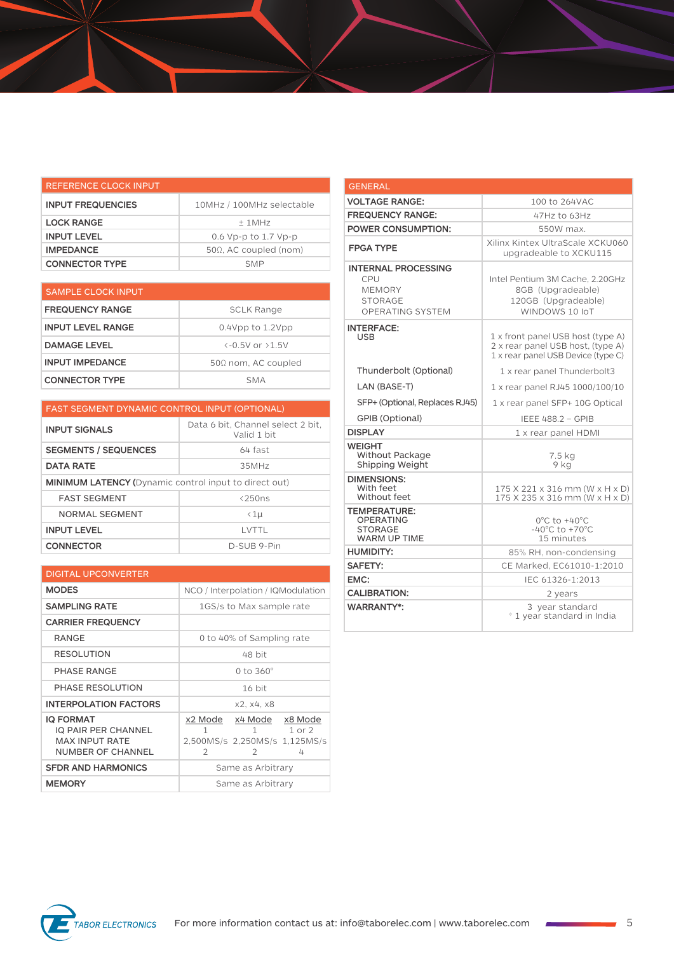| REFERENCE CLOCK INPUT    |                               |
|--------------------------|-------------------------------|
| <b>INPUT FREQUENCIES</b> | 10MHz / 100MHz selectable     |
| <b>LOCK RANGE</b>        | $+1MHz$                       |
| <b>INPUT LEVEL</b>       | 0.6 Vp-p to 1.7 Vp-p          |
| <b>IMPEDANCE</b>         | $50\Omega$ , AC coupled (nom) |
| <b>CONNECTOR TYPE</b>    | <b>SMP</b>                    |

| <b>SAMPLE CLOCK INPUT</b> |                                   |
|---------------------------|-----------------------------------|
| <b>FREQUENCY RANGE</b>    | SCLK Range                        |
| <b>INPUT LEVEL RANGE</b>  | $0.4$ Vpp to $1.2$ Vpp            |
| <b>DAMAGE LEVEL</b>       | $\left(-0.5V_0r_0+5V_0r_0\right)$ |
| <b>INPUT IMPEDANCE</b>    | $50\Omega$ nom, AC coupled        |
| <b>CONNECTOR TYPE</b>     | <b>SMA</b>                        |

| <b>FAST SEGMENT DYNAMIC CONTROL INPUT (OPTIONAL)</b>         |                                                  |
|--------------------------------------------------------------|--------------------------------------------------|
| <b>INPUT SIGNALS</b>                                         | Data 6 bit, Channel select 2 bit,<br>Valid 1 bit |
| <b>SEGMENTS / SEQUENCES</b>                                  | 64 fast                                          |
| <b>DATA RATE</b>                                             | 35MHz                                            |
| <b>MINIMUM LATENCY (Dynamic control input to direct out)</b> |                                                  |
| <b>FAST SEGMENT</b>                                          | $<$ 250 $ns$                                     |
| <b>NORMAL SEGMENT</b>                                        | $\langle 1 \mu$                                  |
| <b>INPUT LEVEL</b>                                           | I VTTI                                           |
| <b>CONNECTOR</b>                                             | D-SUB 9-Pin                                      |

| <b>DIGITAL UPCONVERTER</b>                                                                          |                                                                                                                          |  |
|-----------------------------------------------------------------------------------------------------|--------------------------------------------------------------------------------------------------------------------------|--|
| <b>MODES</b>                                                                                        | NCO / Interpolation / IQModulation                                                                                       |  |
| <b>SAMPLING RATE</b>                                                                                | 1GS/s to Max sample rate                                                                                                 |  |
| <b>CARRIER FREQUENCY</b>                                                                            |                                                                                                                          |  |
| <b>RANGE</b>                                                                                        | 0 to 40% of Sampling rate                                                                                                |  |
| <b>RESOLUTION</b>                                                                                   | 48 bit                                                                                                                   |  |
| PHASE RANGE                                                                                         | 0 to $360^\circ$                                                                                                         |  |
| PHASE RESOLUTION                                                                                    | 16 bit                                                                                                                   |  |
| <b>INTERPOLATION FACTORS</b>                                                                        | x2, x4, x8                                                                                                               |  |
| <b>IQ FORMAT</b><br><b>IQ PAIR PER CHANNEL</b><br><b>MAX INPUT RATE</b><br><b>NUMBER OF CHANNEL</b> | x2 Mode x4 Mode x8 Mode<br>$1$ or $2$<br>1<br>$1 \quad \Box$<br>2,500MS/s 2,250MS/s 1,125MS/s<br>$\mathcal{P}$<br>4<br>2 |  |
| <b>SFDR AND HARMONICS</b>                                                                           | Same as Arbitrary                                                                                                        |  |
| <b>MEMORY</b>                                                                                       | Same as Arbitrary                                                                                                        |  |

| <b>GENERAL</b>                                                                                  |                                                                                                              |
|-------------------------------------------------------------------------------------------------|--------------------------------------------------------------------------------------------------------------|
| <b>VOLTAGE RANGE:</b>                                                                           | 100 to 264VAC                                                                                                |
| <b>FREQUENCY RANGE:</b>                                                                         | 47Hz to 63Hz                                                                                                 |
| <b>POWER CONSUMPTION:</b>                                                                       | 550W max.                                                                                                    |
| <b>FPGA TYPE</b>                                                                                | Xilinx Kintex UltraScale XCKU060<br>upgradeable to XCKU115                                                   |
| <b>INTERNAL PROCESSING</b><br>CPU<br><b>MEMORY</b><br><b>STORAGE</b><br><b>OPERATING SYSTEM</b> | Intel Pentium 3M Cache, 2.20GHz<br>8GB (Upgradeable)<br>120GB (Upgradeable)<br>WINDOWS 10 IoT                |
| <b>INTERFACE:</b><br><b>USB</b>                                                                 | 1 x front panel USB host (type A)<br>2 x rear panel USB host, (type A)<br>1 x rear panel USB Device (type C) |
| Thunderbolt (Optional)                                                                          | 1 x rear panel Thunderbolt3                                                                                  |
| LAN (BASE-T)                                                                                    | 1 x rear panel RJ45 1000/100/10                                                                              |
| SFP+ (Optional, Replaces RJ45)                                                                  | 1 x rear panel SFP+ 10G Optical                                                                              |
| <b>GPIB (Optional)</b>                                                                          | <b>IEEE 488.2 - GPIB</b>                                                                                     |
| <b>DISPLAY</b>                                                                                  | 1 x rear panel HDMI                                                                                          |
| <b>WEIGHT</b><br>Without Package<br>Shipping Weight                                             | 7.5 kg<br>9 kg                                                                                               |
| <b>DIMENSIONS:</b><br>With feet<br>Without feet                                                 | 175 X 221 x 316 mm (W x H x D)<br>175 X 235 x 316 mm (W x H x D)                                             |
| <b>TEMPERATURE:</b><br><b>OPERATING</b><br><b>STORAGE</b><br><b>WARM UP TIME</b>                | $0^{\circ}$ C to $+40^{\circ}$ C<br>-40 $^{\circ}$ C to +70 $^{\circ}$ C<br>15 minutes                       |
| <b>HUMIDITY:</b>                                                                                | 85% RH, non-condensing                                                                                       |
| <b>SAFETY:</b>                                                                                  | CE Marked. EC61010-1:2010                                                                                    |
| EMC:                                                                                            | IEC 61326-1:2013                                                                                             |
| <b>CALIBRATION:</b>                                                                             | 2 years                                                                                                      |
| <b>WARRANTY*:</b>                                                                               | 3 year standard<br>* 1 year standard in India                                                                |